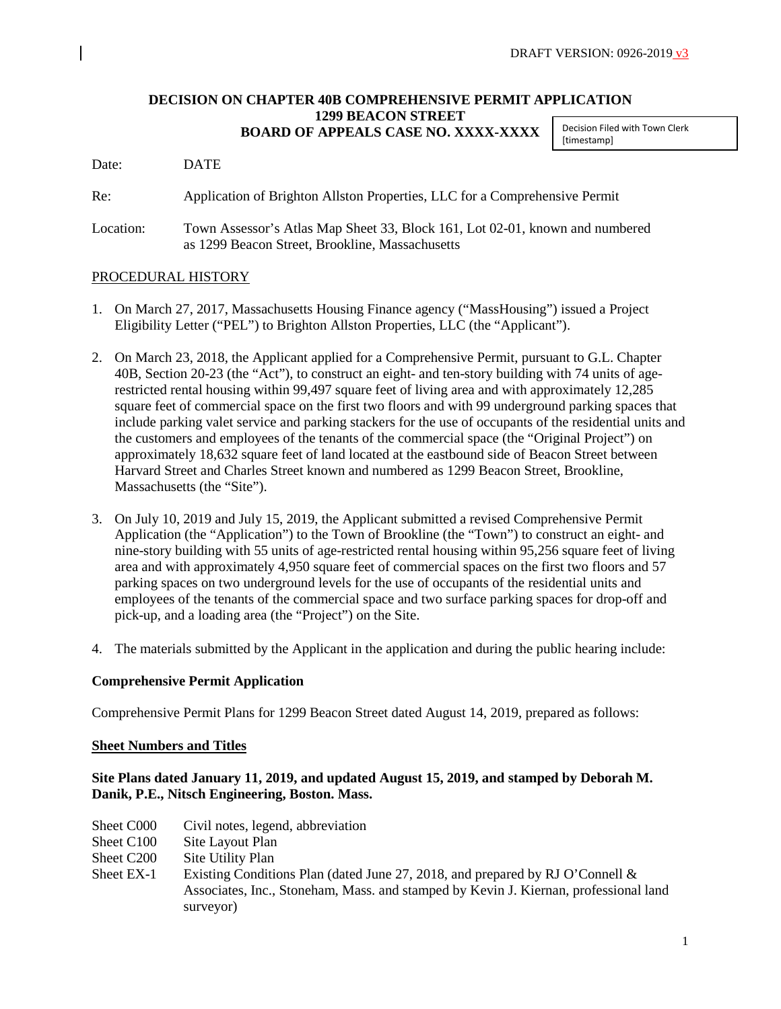#### **DECISION ON CHAPTER 40B COMPREHENSIVE PERMIT APPLICATION 1299 BEACON STREET BOARD OF APPEALS CASE NO. XXXX-XXXX** Decision Filed with Town Clerk [timestamp]

Date: DATE

Re: Application of Brighton Allston Properties, LLC for a Comprehensive Permit

Location: Town Assessor's Atlas Map Sheet 33, Block 161, Lot 02-01, known and numbered as 1299 Beacon Street, Brookline, Massachusetts

#### PROCEDURAL HISTORY

- 1. On March 27, 2017, Massachusetts Housing Finance agency ("MassHousing") issued a Project Eligibility Letter ("PEL") to Brighton Allston Properties, LLC (the "Applicant").
- 2. On March 23, 2018, the Applicant applied for a Comprehensive Permit, pursuant to G.L. Chapter 40B, Section 20-23 (the "Act"), to construct an eight- and ten-story building with 74 units of agerestricted rental housing within 99,497 square feet of living area and with approximately 12,285 square feet of commercial space on the first two floors and with 99 underground parking spaces that include parking valet service and parking stackers for the use of occupants of the residential units and the customers and employees of the tenants of the commercial space (the "Original Project") on approximately 18,632 square feet of land located at the eastbound side of Beacon Street between Harvard Street and Charles Street known and numbered as 1299 Beacon Street, Brookline, Massachusetts (the "Site").
- 3. On July 10, 2019 and July 15, 2019, the Applicant submitted a revised Comprehensive Permit Application (the "Application") to the Town of Brookline (the "Town") to construct an eight- and nine-story building with 55 units of age-restricted rental housing within 95,256 square feet of living area and with approximately 4,950 square feet of commercial spaces on the first two floors and 57 parking spaces on two underground levels for the use of occupants of the residential units and employees of the tenants of the commercial space and two surface parking spaces for drop-off and pick-up, and a loading area (the "Project") on the Site.
- 4. The materials submitted by the Applicant in the application and during the public hearing include:

#### **Comprehensive Permit Application**

Comprehensive Permit Plans for 1299 Beacon Street dated August 14, 2019, prepared as follows:

#### **Sheet Numbers and Titles**

# **Site Plans dated January 11, 2019, and updated August 15, 2019, and stamped by Deborah M. Danik, P.E., Nitsch Engineering, Boston. Mass.**

- Sheet C000 Civil notes, legend, abbreviation
- Sheet C100 Site Layout Plan
- Sheet C200 Site Utility Plan
- Sheet EX-1 Existing Conditions Plan (dated June 27, 2018, and prepared by RJ O'Connell & Associates, Inc., Stoneham, Mass. and stamped by Kevin J. Kiernan, professional land surveyor)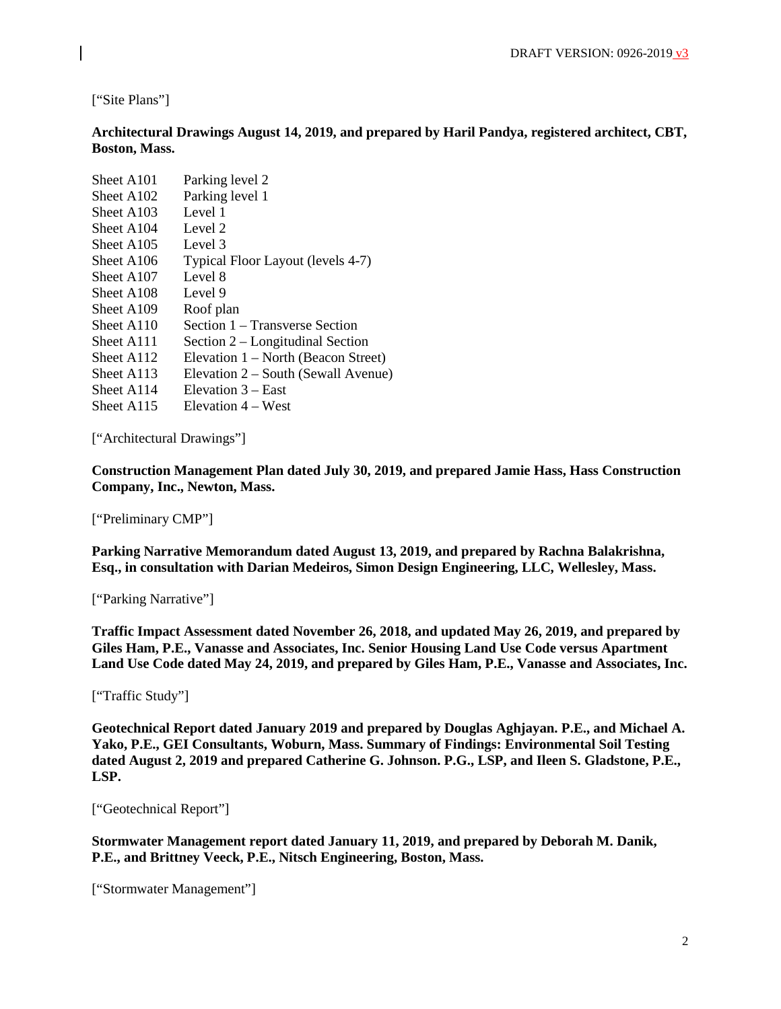["Site Plans"]

**Architectural Drawings August 14, 2019, and prepared by Haril Pandya, registered architect, CBT, Boston, Mass.**

| Sheet A <sub>101</sub> | Parking level 2                     |
|------------------------|-------------------------------------|
| Sheet A <sub>102</sub> | Parking level 1                     |
| Sheet A103             | Level 1                             |
| Sheet A104             | Level 2                             |
| Sheet A105             | Level 3                             |
| Sheet A106             | Typical Floor Layout (levels 4-7)   |
| Sheet A107             | Level 8                             |
| Sheet A <sub>108</sub> | Level 9                             |
| Sheet A109             | Roof plan                           |
| Sheet A110             | Section 1 – Transverse Section      |
| Sheet A111             | Section 2 – Longitudinal Section    |
| Sheet A <sub>112</sub> | Elevation 1 – North (Beacon Street) |
| Sheet A113             | Elevation 2 – South (Sewall Avenue) |
| Sheet A <sub>114</sub> | Elevation $3 - East$                |
| Sheet A115             | Elevation $4 - West$                |

["Architectural Drawings"]

**Construction Management Plan dated July 30, 2019, and prepared Jamie Hass, Hass Construction Company, Inc., Newton, Mass.** 

["Preliminary CMP"]

**Parking Narrative Memorandum dated August 13, 2019, and prepared by Rachna Balakrishna, Esq., in consultation with Darian Medeiros, Simon Design Engineering, LLC, Wellesley, Mass.** 

["Parking Narrative"]

**Traffic Impact Assessment dated November 26, 2018, and updated May 26, 2019, and prepared by Giles Ham, P.E., Vanasse and Associates, Inc. Senior Housing Land Use Code versus Apartment Land Use Code dated May 24, 2019, and prepared by Giles Ham, P.E., Vanasse and Associates, Inc.**

["Traffic Study"]

**Geotechnical Report dated January 2019 and prepared by Douglas Aghjayan. P.E., and Michael A. Yako, P.E., GEI Consultants, Woburn, Mass. Summary of Findings: Environmental Soil Testing dated August 2, 2019 and prepared Catherine G. Johnson. P.G., LSP, and Ileen S. Gladstone, P.E., LSP.**

["Geotechnical Report"]

**Stormwater Management report dated January 11, 2019, and prepared by Deborah M. Danik, P.E., and Brittney Veeck, P.E., Nitsch Engineering, Boston, Mass.** 

["Stormwater Management"]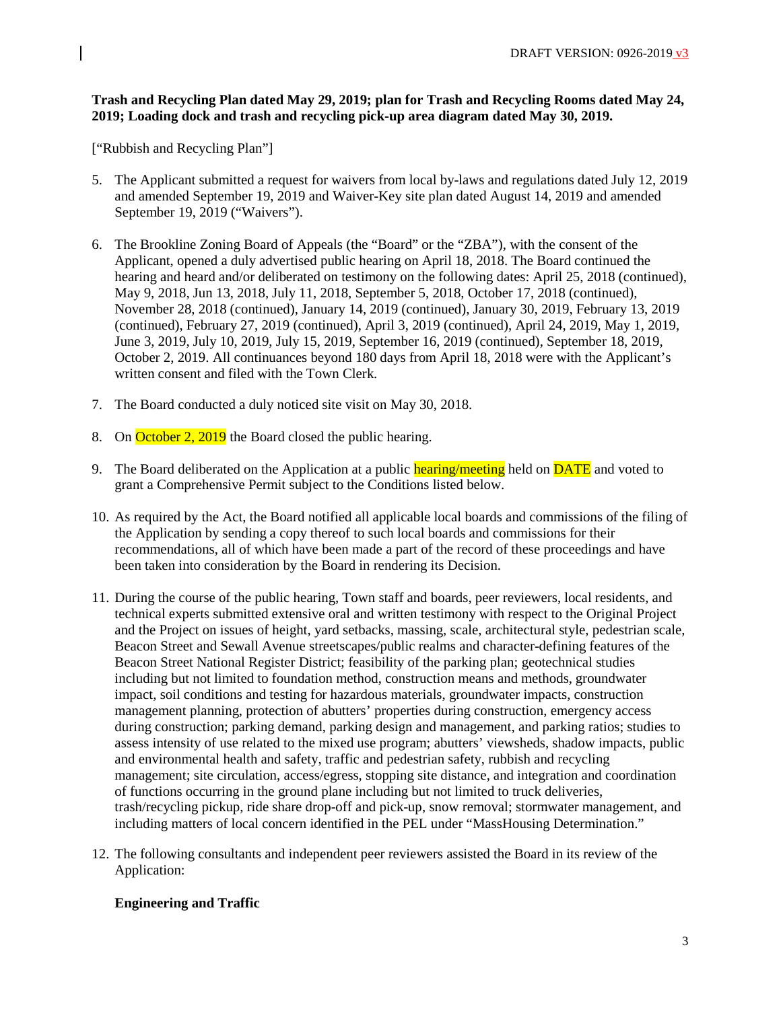# **Trash and Recycling Plan dated May 29, 2019; plan for Trash and Recycling Rooms dated May 24, 2019; Loading dock and trash and recycling pick-up area diagram dated May 30, 2019.**

["Rubbish and Recycling Plan"]

- 5. The Applicant submitted a request for waivers from local by-laws and regulations dated July 12, 2019 and amended September 19, 2019 and Waiver-Key site plan dated August 14, 2019 and amended September 19, 2019 ("Waivers").
- 6. The Brookline Zoning Board of Appeals (the "Board" or the "ZBA"), with the consent of the Applicant, opened a duly advertised public hearing on April 18, 2018. The Board continued the hearing and heard and/or deliberated on testimony on the following dates: April 25, 2018 (continued), May 9, 2018, Jun 13, 2018, July 11, 2018, September 5, 2018, October 17, 2018 (continued), November 28, 2018 (continued), January 14, 2019 (continued), January 30, 2019, February 13, 2019 (continued), February 27, 2019 (continued), April 3, 2019 (continued), April 24, 2019, May 1, 2019, June 3, 2019, July 10, 2019, July 15, 2019, September 16, 2019 (continued), September 18, 2019, October 2, 2019. All continuances beyond 180 days from April 18, 2018 were with the Applicant's written consent and filed with the Town Clerk.
- 7. The Board conducted a duly noticed site visit on May 30, 2018.
- 8. On October 2, 2019 the Board closed the public hearing.
- 9. The Board deliberated on the Application at a public hearing/meeting held on **DATE** and voted to grant a Comprehensive Permit subject to the Conditions listed below.
- 10. As required by the Act, the Board notified all applicable local boards and commissions of the filing of the Application by sending a copy thereof to such local boards and commissions for their recommendations, all of which have been made a part of the record of these proceedings and have been taken into consideration by the Board in rendering its Decision.
- 11. During the course of the public hearing, Town staff and boards, peer reviewers, local residents, and technical experts submitted extensive oral and written testimony with respect to the Original Project and the Project on issues of height, yard setbacks, massing, scale, architectural style, pedestrian scale, Beacon Street and Sewall Avenue streetscapes/public realms and character-defining features of the Beacon Street National Register District; feasibility of the parking plan; geotechnical studies including but not limited to foundation method, construction means and methods, groundwater impact, soil conditions and testing for hazardous materials, groundwater impacts, construction management planning, protection of abutters' properties during construction, emergency access during construction; parking demand, parking design and management, and parking ratios; studies to assess intensity of use related to the mixed use program; abutters' viewsheds, shadow impacts, public and environmental health and safety, traffic and pedestrian safety, rubbish and recycling management; site circulation, access/egress, stopping site distance, and integration and coordination of functions occurring in the ground plane including but not limited to truck deliveries, trash/recycling pickup, ride share drop-off and pick-up, snow removal; stormwater management, and including matters of local concern identified in the PEL under "MassHousing Determination."
- 12. The following consultants and independent peer reviewers assisted the Board in its review of the Application:

# **Engineering and Traffic**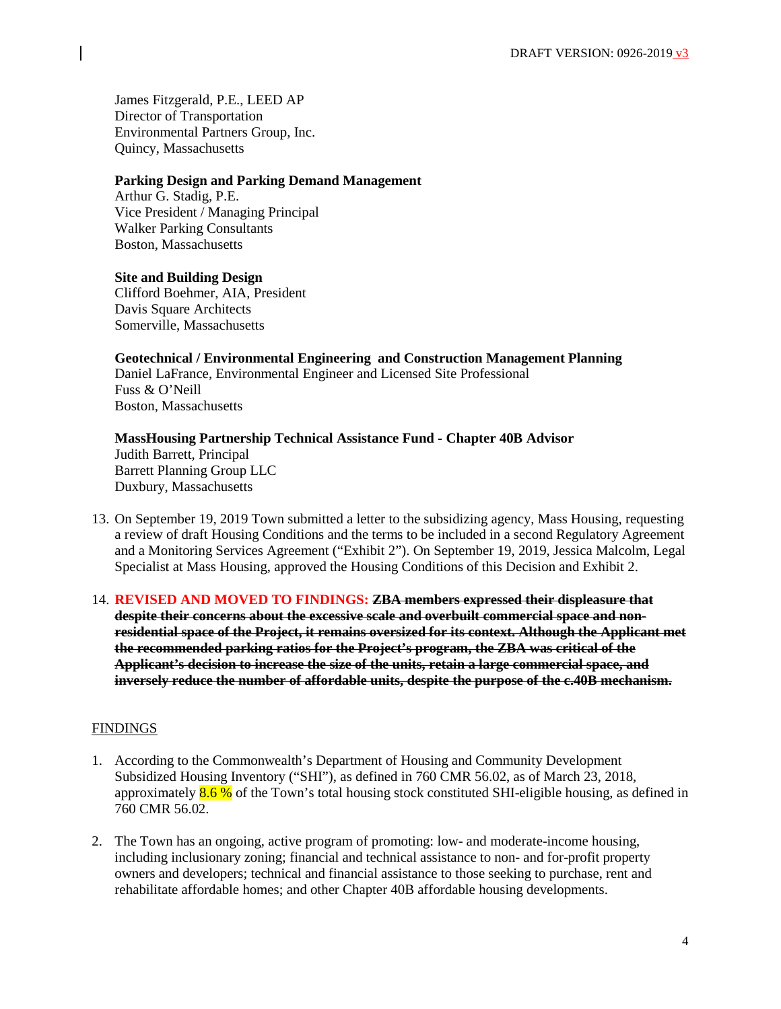James Fitzgerald, P.E., LEED AP Director of Transportation Environmental Partners Group, Inc. Quincy, Massachusetts

#### **Parking Design and Parking Demand Management**

Arthur G. Stadig, P.E. Vice President / Managing Principal Walker Parking Consultants Boston, Massachusetts

#### **Site and Building Design**

Clifford Boehmer, AIA, President Davis Square Architects Somerville, Massachusetts

# **Geotechnical / Environmental Engineering and Construction Management Planning**

Daniel LaFrance, Environmental Engineer and Licensed Site Professional Fuss & O'Neill Boston, Massachusetts

#### **MassHousing Partnership Technical Assistance Fund - Chapter 40B Advisor** Judith Barrett, Principal Barrett Planning Group LLC Duxbury, Massachusetts

- 13. On September 19, 2019 Town submitted a letter to the subsidizing agency, Mass Housing, requesting a review of draft Housing Conditions and the terms to be included in a second Regulatory Agreement and a Monitoring Services Agreement ("Exhibit 2"). On September 19, 2019, Jessica Malcolm, Legal Specialist at Mass Housing, approved the Housing Conditions of this Decision and Exhibit 2.
- 14. **REVISED AND MOVED TO FINDINGS: ZBA members expressed their displeasure that despite their concerns about the excessive scale and overbuilt commercial space and nonresidential space of the Project, it remains oversized for its context. Although the Applicant met the recommended parking ratios for the Project's program, the ZBA was critical of the Applicant's decision to increase the size of the units, retain a large commercial space, and inversely reduce the number of affordable units, despite the purpose of the c.40B mechanism.**

# **FINDINGS**

- 1. According to the Commonwealth's Department of Housing and Community Development Subsidized Housing Inventory ("SHI"), as defined in 760 CMR 56.02, as of March 23, 2018, approximately  $8.6\%$  of the Town's total housing stock constituted SHI-eligible housing, as defined in 760 CMR 56.02.
- 2. The Town has an ongoing, active program of promoting: low- and moderate-income housing, including inclusionary zoning; financial and technical assistance to non- and for-profit property owners and developers; technical and financial assistance to those seeking to purchase, rent and rehabilitate affordable homes; and other Chapter 40B affordable housing developments.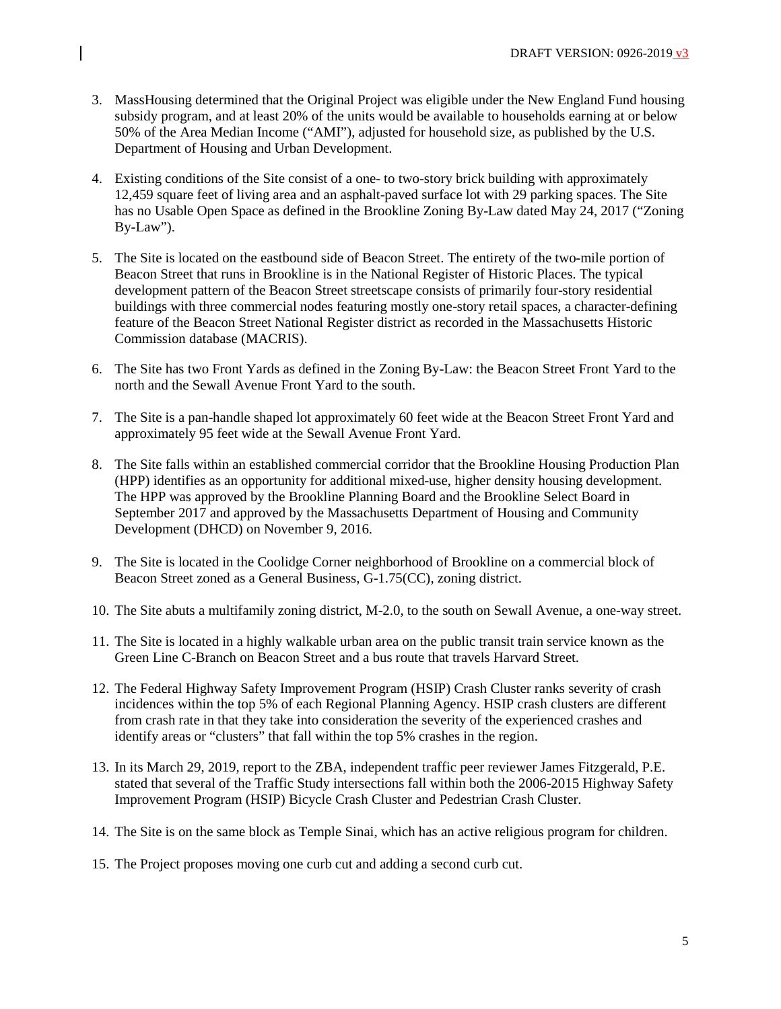- 3. MassHousing determined that the Original Project was eligible under the New England Fund housing subsidy program, and at least 20% of the units would be available to households earning at or below 50% of the Area Median Income ("AMI"), adjusted for household size, as published by the U.S. Department of Housing and Urban Development.
- 4. Existing conditions of the Site consist of a one- to two-story brick building with approximately 12,459 square feet of living area and an asphalt-paved surface lot with 29 parking spaces. The Site has no Usable Open Space as defined in the Brookline Zoning By-Law dated May 24, 2017 ("Zoning By-Law").
- 5. The Site is located on the eastbound side of Beacon Street. The entirety of the two-mile portion of Beacon Street that runs in Brookline is in the National Register of Historic Places. The typical development pattern of the Beacon Street streetscape consists of primarily four-story residential buildings with three commercial nodes featuring mostly one-story retail spaces, a character-defining feature of the Beacon Street National Register district as recorded in the Massachusetts Historic Commission database (MACRIS).
- 6. The Site has two Front Yards as defined in the Zoning By-Law: the Beacon Street Front Yard to the north and the Sewall Avenue Front Yard to the south.
- 7. The Site is a pan-handle shaped lot approximately 60 feet wide at the Beacon Street Front Yard and approximately 95 feet wide at the Sewall Avenue Front Yard.
- 8. The Site falls within an established commercial corridor that the Brookline Housing Production Plan (HPP) identifies as an opportunity for additional mixed-use, higher density housing development. The HPP was approved by the Brookline Planning Board and the Brookline Select Board in September 2017 and approved by the Massachusetts Department of Housing and Community Development (DHCD) on November 9, 2016.
- 9. The Site is located in the Coolidge Corner neighborhood of Brookline on a commercial block of Beacon Street zoned as a General Business, G-1.75(CC), zoning district.
- 10. The Site abuts a multifamily zoning district, M-2.0, to the south on Sewall Avenue, a one-way street.
- 11. The Site is located in a highly walkable urban area on the public transit train service known as the Green Line C-Branch on Beacon Street and a bus route that travels Harvard Street.
- 12. The Federal Highway Safety Improvement Program (HSIP) Crash Cluster ranks severity of crash incidences within the top 5% of each Regional Planning Agency. HSIP crash clusters are different from crash rate in that they take into consideration the severity of the experienced crashes and identify areas or "clusters" that fall within the top 5% crashes in the region.
- 13. In its March 29, 2019, report to the ZBA, independent traffic peer reviewer James Fitzgerald, P.E. stated that several of the Traffic Study intersections fall within both the 2006-2015 Highway Safety Improvement Program (HSIP) Bicycle Crash Cluster and Pedestrian Crash Cluster.
- 14. The Site is on the same block as Temple Sinai, which has an active religious program for children.
- 15. The Project proposes moving one curb cut and adding a second curb cut.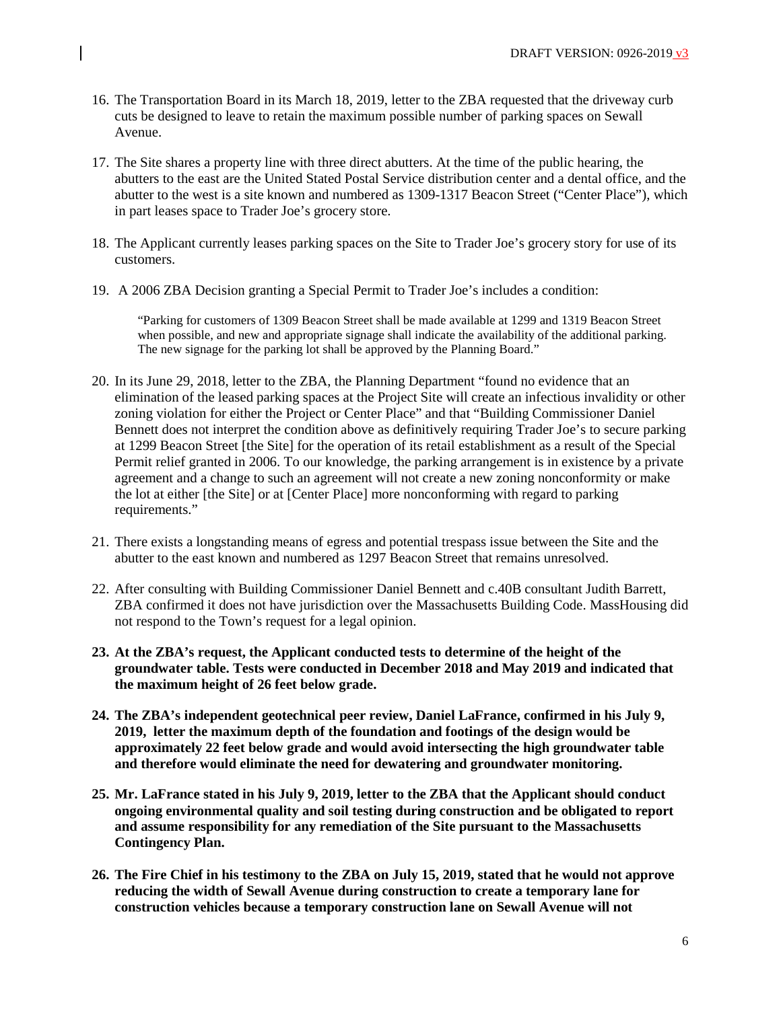- 16. The Transportation Board in its March 18, 2019, letter to the ZBA requested that the driveway curb cuts be designed to leave to retain the maximum possible number of parking spaces on Sewall Avenue.
- 17. The Site shares a property line with three direct abutters. At the time of the public hearing, the abutters to the east are the United Stated Postal Service distribution center and a dental office, and the abutter to the west is a site known and numbered as 1309-1317 Beacon Street ("Center Place"), which in part leases space to Trader Joe's grocery store.
- 18. The Applicant currently leases parking spaces on the Site to Trader Joe's grocery story for use of its customers.
- 19. A 2006 ZBA Decision granting a Special Permit to Trader Joe's includes a condition:

"Parking for customers of 1309 Beacon Street shall be made available at 1299 and 1319 Beacon Street when possible, and new and appropriate signage shall indicate the availability of the additional parking. The new signage for the parking lot shall be approved by the Planning Board."

- 20. In its June 29, 2018, letter to the ZBA, the Planning Department "found no evidence that an elimination of the leased parking spaces at the Project Site will create an infectious invalidity or other zoning violation for either the Project or Center Place" and that "Building Commissioner Daniel Bennett does not interpret the condition above as definitively requiring Trader Joe's to secure parking at 1299 Beacon Street [the Site] for the operation of its retail establishment as a result of the Special Permit relief granted in 2006. To our knowledge, the parking arrangement is in existence by a private agreement and a change to such an agreement will not create a new zoning nonconformity or make the lot at either [the Site] or at [Center Place] more nonconforming with regard to parking requirements."
- 21. There exists a longstanding means of egress and potential trespass issue between the Site and the abutter to the east known and numbered as 1297 Beacon Street that remains unresolved.
- 22. After consulting with Building Commissioner Daniel Bennett and c.40B consultant Judith Barrett, ZBA confirmed it does not have jurisdiction over the Massachusetts Building Code. MassHousing did not respond to the Town's request for a legal opinion.
- **23. At the ZBA's request, the Applicant conducted tests to determine of the height of the groundwater table. Tests were conducted in December 2018 and May 2019 and indicated that the maximum height of 26 feet below grade.**
- **24. The ZBA's independent geotechnical peer review, Daniel LaFrance, confirmed in his July 9, 2019, letter the maximum depth of the foundation and footings of the design would be approximately 22 feet below grade and would avoid intersecting the high groundwater table and therefore would eliminate the need for dewatering and groundwater monitoring.**
- **25. Mr. LaFrance stated in his July 9, 2019, letter to the ZBA that the Applicant should conduct ongoing environmental quality and soil testing during construction and be obligated to report and assume responsibility for any remediation of the Site pursuant to the Massachusetts Contingency Plan.**
- **26. The Fire Chief in his testimony to the ZBA on July 15, 2019, stated that he would not approve reducing the width of Sewall Avenue during construction to create a temporary lane for construction vehicles because a temporary construction lane on Sewall Avenue will not**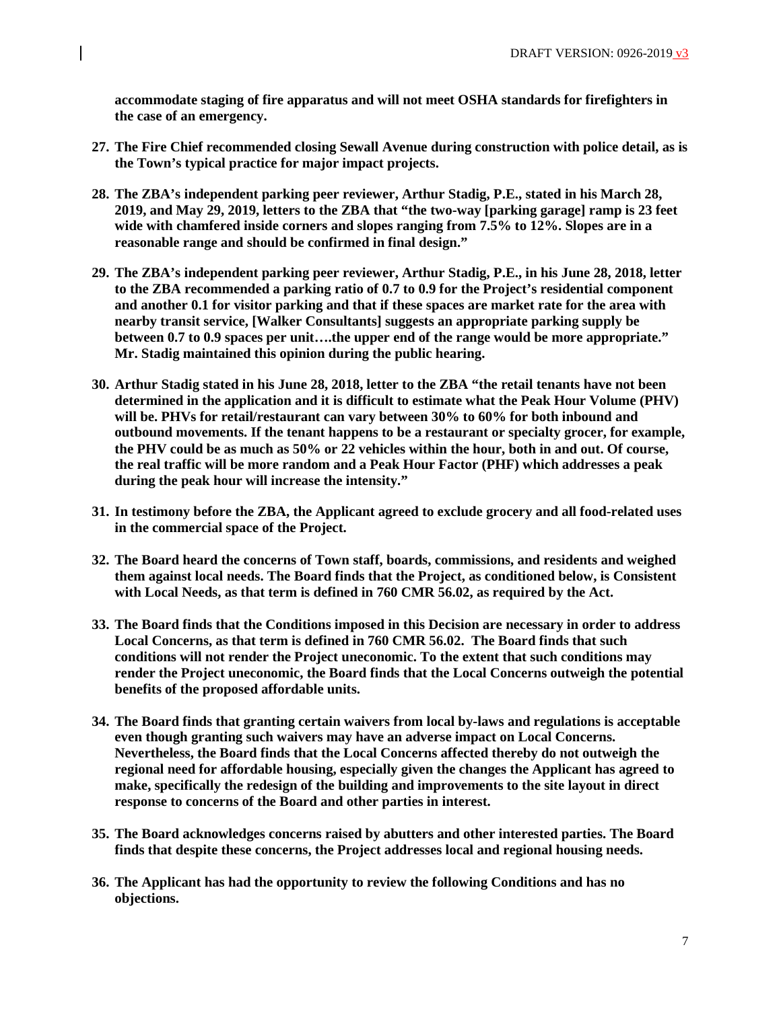**accommodate staging of fire apparatus and will not meet OSHA standards for firefighters in the case of an emergency.** 

- **27. The Fire Chief recommended closing Sewall Avenue during construction with police detail, as is the Town's typical practice for major impact projects.**
- **28. The ZBA's independent parking peer reviewer, Arthur Stadig, P.E., stated in his March 28, 2019, and May 29, 2019, letters to the ZBA that "the two-way [parking garage] ramp is 23 feet wide with chamfered inside corners and slopes ranging from 7.5% to 12%. Slopes are in a reasonable range and should be confirmed in final design."**
- **29. The ZBA's independent parking peer reviewer, Arthur Stadig, P.E., in his June 28, 2018, letter to the ZBA recommended a parking ratio of 0.7 to 0.9 for the Project's residential component and another 0.1 for visitor parking and that if these spaces are market rate for the area with nearby transit service, [Walker Consultants] suggests an appropriate parking supply be between 0.7 to 0.9 spaces per unit….the upper end of the range would be more appropriate." Mr. Stadig maintained this opinion during the public hearing.**
- **30. Arthur Stadig stated in his June 28, 2018, letter to the ZBA "the retail tenants have not been determined in the application and it is difficult to estimate what the Peak Hour Volume (PHV) will be. PHVs for retail/restaurant can vary between 30% to 60% for both inbound and outbound movements. If the tenant happens to be a restaurant or specialty grocer, for example, the PHV could be as much as 50% or 22 vehicles within the hour, both in and out. Of course, the real traffic will be more random and a Peak Hour Factor (PHF) which addresses a peak during the peak hour will increase the intensity."**
- **31. In testimony before the ZBA, the Applicant agreed to exclude grocery and all food-related uses in the commercial space of the Project.**
- **32. The Board heard the concerns of Town staff, boards, commissions, and residents and weighed them against local needs. The Board finds that the Project, as conditioned below, is Consistent with Local Needs, as that term is defined in 760 CMR 56.02, as required by the Act.**
- **33. The Board finds that the Conditions imposed in this Decision are necessary in order to address Local Concerns, as that term is defined in 760 CMR 56.02. The Board finds that such conditions will not render the Project uneconomic. To the extent that such conditions may render the Project uneconomic, the Board finds that the Local Concerns outweigh the potential benefits of the proposed affordable units.**
- **34. The Board finds that granting certain waivers from local by-laws and regulations is acceptable even though granting such waivers may have an adverse impact on Local Concerns. Nevertheless, the Board finds that the Local Concerns affected thereby do not outweigh the regional need for affordable housing, especially given the changes the Applicant has agreed to make, specifically the redesign of the building and improvements to the site layout in direct response to concerns of the Board and other parties in interest.**
- **35. The Board acknowledges concerns raised by abutters and other interested parties. The Board finds that despite these concerns, the Project addresses local and regional housing needs.**
- **36. The Applicant has had the opportunity to review the following Conditions and has no objections.**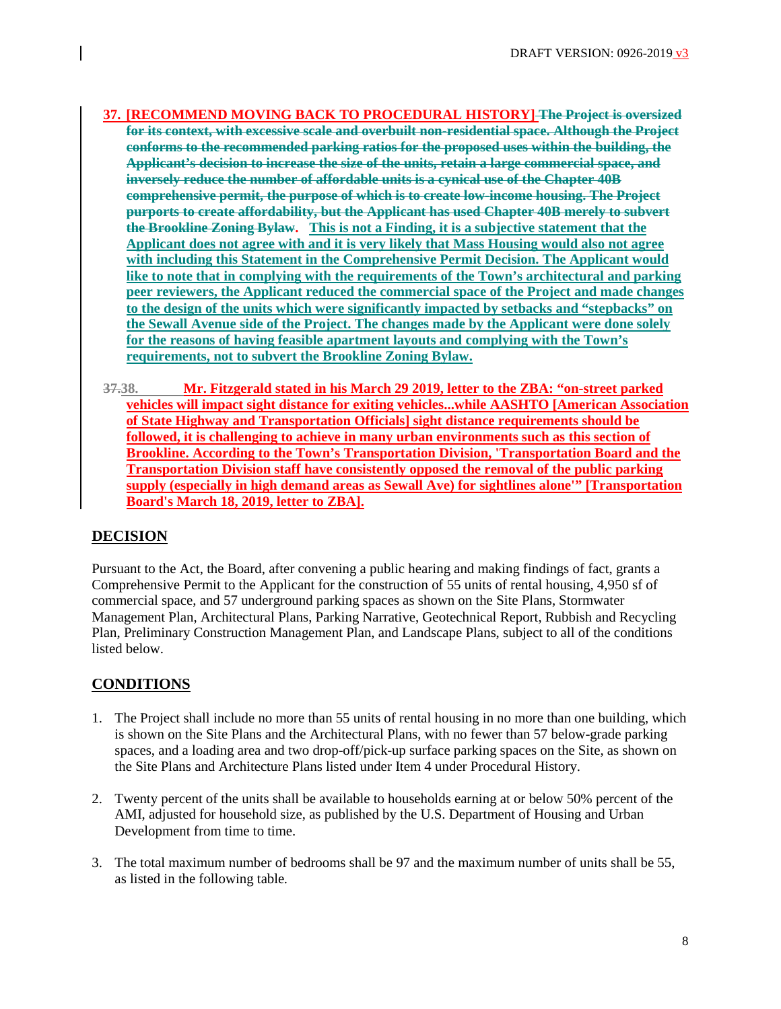- **37. [RECOMMEND MOVING BACK TO PROCEDURAL HISTORY] The Project is oversized for its context, with excessive scale and overbuilt non-residential space. Although the Project conforms to the recommended parking ratios for the proposed uses within the building, the Applicant's decision to increase the size of the units, retain a large commercial space, and inversely reduce the number of affordable units is a cynical use of the Chapter 40B comprehensive permit, the purpose of which is to create low-income housing. The Project purports to create affordability, but the Applicant has used Chapter 40B merely to subvert the Brookline Zoning Bylaw. This is not a Finding, it is a subjective statement that the Applicant does not agree with and it is very likely that Mass Housing would also not agree with including this Statement in the Comprehensive Permit Decision. The Applicant would like to note that in complying with the requirements of the Town's architectural and parking peer reviewers, the Applicant reduced the commercial space of the Project and made changes to the design of the units which were significantly impacted by setbacks and "stepbacks" on the Sewall Avenue side of the Project. The changes made by the Applicant were done solely for the reasons of having feasible apartment layouts and complying with the Town's requirements, not to subvert the Brookline Zoning Bylaw.**
- **37.38. Mr. Fitzgerald stated in his March 29 2019, letter to the ZBA: "on-street parked vehicles will impact sight distance for exiting vehicles...while AASHTO [American Association of State Highway and Transportation Officials] sight distance requirements should be followed, it is challenging to achieve in many urban environments such as this section of Brookline. According to the Town's Transportation Division, 'Transportation Board and the Transportation Division staff have consistently opposed the removal of the public parking supply (especially in high demand areas as Sewall Ave) for sightlines alone'" [Transportation Board's March 18, 2019, letter to ZBA].**

# **DECISION**

Pursuant to the Act, the Board, after convening a public hearing and making findings of fact, grants a Comprehensive Permit to the Applicant for the construction of 55 units of rental housing, 4,950 sf of commercial space, and 57 underground parking spaces as shown on the Site Plans, Stormwater Management Plan, Architectural Plans, Parking Narrative, Geotechnical Report, Rubbish and Recycling Plan, Preliminary Construction Management Plan, and Landscape Plans, subject to all of the conditions listed below.

# **CONDITIONS**

- 1. The Project shall include no more than 55 units of rental housing in no more than one building, which is shown on the Site Plans and the Architectural Plans, with no fewer than 57 below-grade parking spaces, and a loading area and two drop-off/pick-up surface parking spaces on the Site, as shown on the Site Plans and Architecture Plans listed under Item 4 under Procedural History.
- 2. Twenty percent of the units shall be available to households earning at or below 50% percent of the AMI, adjusted for household size, as published by the U.S. Department of Housing and Urban Development from time to time.
- 3. The total maximum number of bedrooms shall be 97 and the maximum number of units shall be 55, as listed in the following table*.*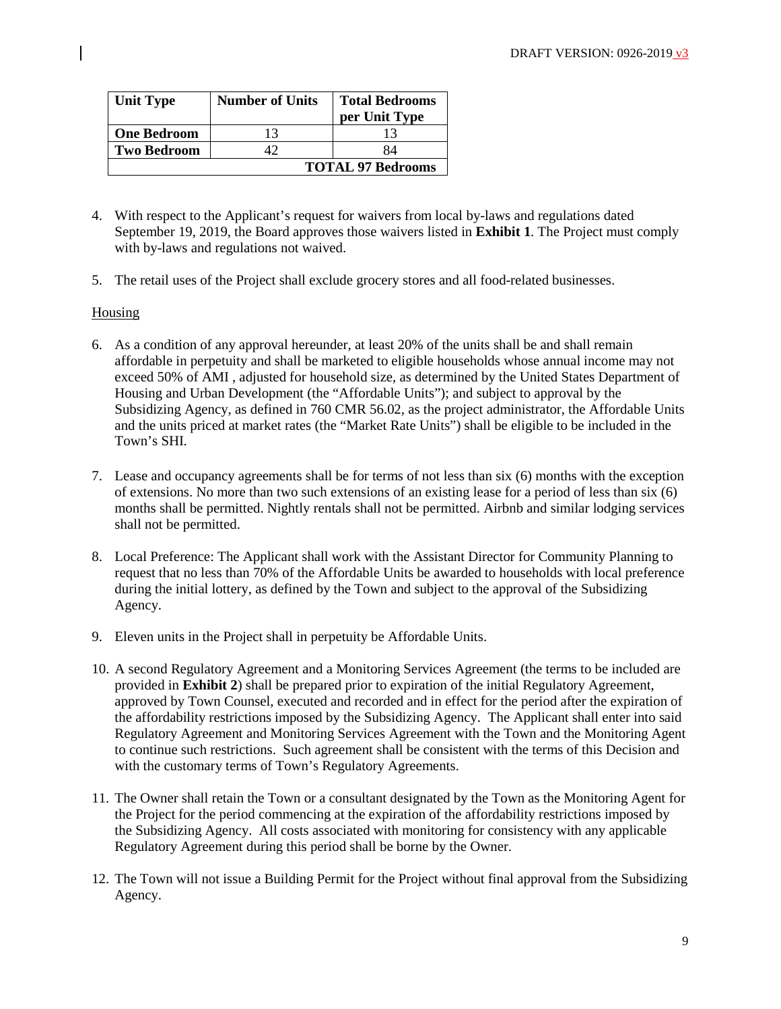| <b>Unit Type</b>         | <b>Number of Units</b> | <b>Total Bedrooms</b><br>per Unit Type |
|--------------------------|------------------------|----------------------------------------|
| <b>One Bedroom</b>       | 13                     |                                        |
| <b>Two Bedroom</b>       |                        | 84                                     |
| <b>TOTAL 97 Bedrooms</b> |                        |                                        |

- 4. With respect to the Applicant's request for waivers from local by-laws and regulations dated September 19, 2019, the Board approves those waivers listed in **Exhibit 1**. The Project must comply with by-laws and regulations not waived.
- 5. The retail uses of the Project shall exclude grocery stores and all food-related businesses.

# Housing

- 6. As a condition of any approval hereunder, at least 20% of the units shall be and shall remain affordable in perpetuity and shall be marketed to eligible households whose annual income may not exceed 50% of AMI , adjusted for household size, as determined by the United States Department of Housing and Urban Development (the "Affordable Units"); and subject to approval by the Subsidizing Agency, as defined in 760 CMR 56.02, as the project administrator, the Affordable Units and the units priced at market rates (the "Market Rate Units") shall be eligible to be included in the Town's SHI.
- 7. Lease and occupancy agreements shall be for terms of not less than six (6) months with the exception of extensions. No more than two such extensions of an existing lease for a period of less than six (6) months shall be permitted. Nightly rentals shall not be permitted. Airbnb and similar lodging services shall not be permitted.
- 8. Local Preference: The Applicant shall work with the Assistant Director for Community Planning to request that no less than 70% of the Affordable Units be awarded to households with local preference during the initial lottery, as defined by the Town and subject to the approval of the Subsidizing Agency.
- 9. Eleven units in the Project shall in perpetuity be Affordable Units.
- 10. A second Regulatory Agreement and a Monitoring Services Agreement (the terms to be included are provided in **Exhibit 2**) shall be prepared prior to expiration of the initial Regulatory Agreement, approved by Town Counsel, executed and recorded and in effect for the period after the expiration of the affordability restrictions imposed by the Subsidizing Agency. The Applicant shall enter into said Regulatory Agreement and Monitoring Services Agreement with the Town and the Monitoring Agent to continue such restrictions. Such agreement shall be consistent with the terms of this Decision and with the customary terms of Town's Regulatory Agreements.
- 11. The Owner shall retain the Town or a consultant designated by the Town as the Monitoring Agent for the Project for the period commencing at the expiration of the affordability restrictions imposed by the Subsidizing Agency. All costs associated with monitoring for consistency with any applicable Regulatory Agreement during this period shall be borne by the Owner.
- 12. The Town will not issue a Building Permit for the Project without final approval from the Subsidizing Agency.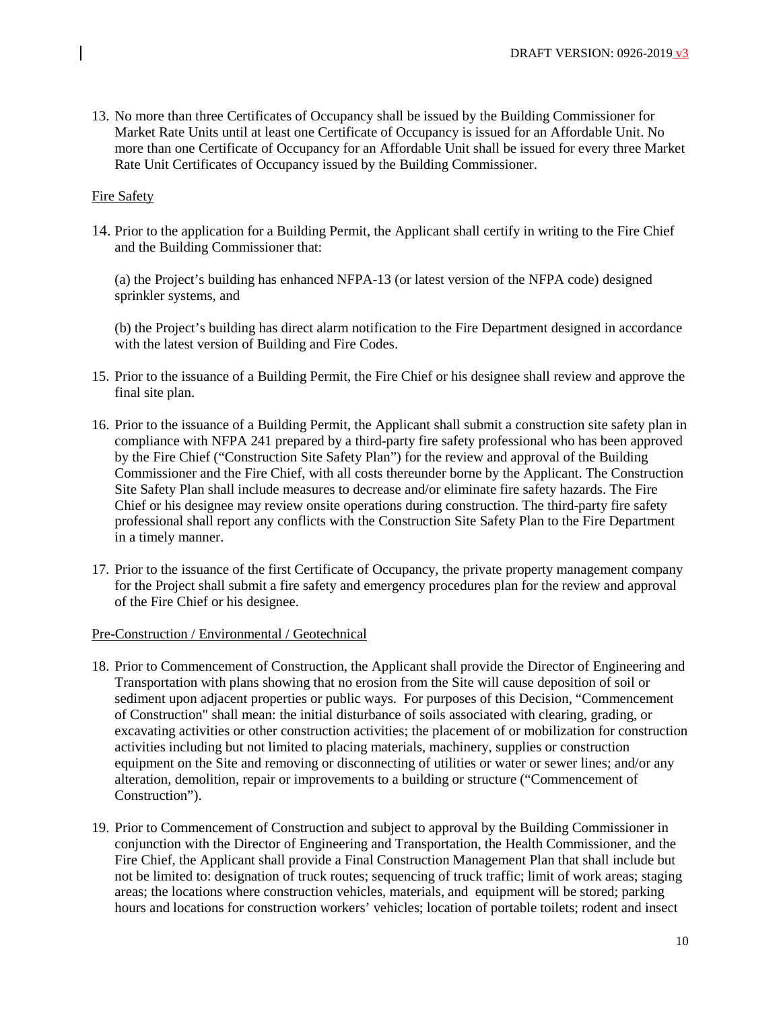13. No more than three Certificates of Occupancy shall be issued by the Building Commissioner for Market Rate Units until at least one Certificate of Occupancy is issued for an Affordable Unit. No more than one Certificate of Occupancy for an Affordable Unit shall be issued for every three Market Rate Unit Certificates of Occupancy issued by the Building Commissioner.

# Fire Safety

14. Prior to the application for a Building Permit, the Applicant shall certify in writing to the Fire Chief and the Building Commissioner that:

(a) the Project's building has enhanced NFPA-13 (or latest version of the NFPA code) designed sprinkler systems, and

(b) the Project's building has direct alarm notification to the Fire Department designed in accordance with the latest version of Building and Fire Codes.

- 15. Prior to the issuance of a Building Permit, the Fire Chief or his designee shall review and approve the final site plan.
- 16. Prior to the issuance of a Building Permit, the Applicant shall submit a construction site safety plan in compliance with NFPA 241 prepared by a third-party fire safety professional who has been approved by the Fire Chief ("Construction Site Safety Plan") for the review and approval of the Building Commissioner and the Fire Chief, with all costs thereunder borne by the Applicant. The Construction Site Safety Plan shall include measures to decrease and/or eliminate fire safety hazards. The Fire Chief or his designee may review onsite operations during construction. The third-party fire safety professional shall report any conflicts with the Construction Site Safety Plan to the Fire Department in a timely manner.
- 17. Prior to the issuance of the first Certificate of Occupancy, the private property management company for the Project shall submit a fire safety and emergency procedures plan for the review and approval of the Fire Chief or his designee.

#### Pre-Construction / Environmental / Geotechnical

- 18. Prior to Commencement of Construction, the Applicant shall provide the Director of Engineering and Transportation with plans showing that no erosion from the Site will cause deposition of soil or sediment upon adjacent properties or public ways. For purposes of this Decision, "Commencement of Construction" shall mean: the initial disturbance of soils associated with clearing, grading, or excavating activities or other construction activities; the placement of or mobilization for construction activities including but not limited to placing materials, machinery, supplies or construction equipment on the Site and removing or disconnecting of utilities or water or sewer lines; and/or any alteration, demolition, repair or improvements to a building or structure ("Commencement of Construction").
- 19. Prior to Commencement of Construction and subject to approval by the Building Commissioner in conjunction with the Director of Engineering and Transportation, the Health Commissioner, and the Fire Chief, the Applicant shall provide a Final Construction Management Plan that shall include but not be limited to: designation of truck routes; sequencing of truck traffic; limit of work areas; staging areas; the locations where construction vehicles, materials, and equipment will be stored; parking hours and locations for construction workers' vehicles; location of portable toilets; rodent and insect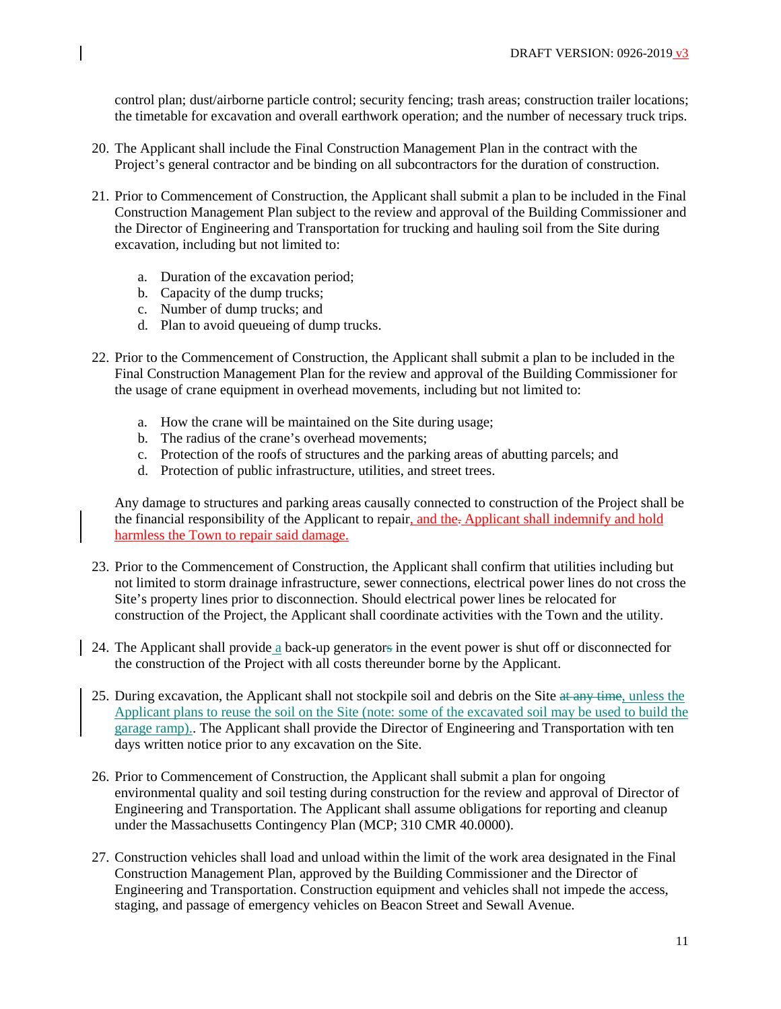control plan; dust/airborne particle control; security fencing; trash areas; construction trailer locations; the timetable for excavation and overall earthwork operation; and the number of necessary truck trips.

- 20. The Applicant shall include the Final Construction Management Plan in the contract with the Project's general contractor and be binding on all subcontractors for the duration of construction.
- 21. Prior to Commencement of Construction, the Applicant shall submit a plan to be included in the Final Construction Management Plan subject to the review and approval of the Building Commissioner and the Director of Engineering and Transportation for trucking and hauling soil from the Site during excavation, including but not limited to:
	- a. Duration of the excavation period;
	- b. Capacity of the dump trucks;
	- c. Number of dump trucks; and
	- d. Plan to avoid queueing of dump trucks.
- 22. Prior to the Commencement of Construction, the Applicant shall submit a plan to be included in the Final Construction Management Plan for the review and approval of the Building Commissioner for the usage of crane equipment in overhead movements, including but not limited to:
	- a. How the crane will be maintained on the Site during usage;
	- b. The radius of the crane's overhead movements;
	- c. Protection of the roofs of structures and the parking areas of abutting parcels; and
	- d. Protection of public infrastructure, utilities, and street trees.

Any damage to structures and parking areas causally connected to construction of the Project shall be the financial responsibility of the Applicant to repair, and the. Applicant shall indemnify and hold harmless the Town to repair said damage.

- 23. Prior to the Commencement of Construction, the Applicant shall confirm that utilities including but not limited to storm drainage infrastructure, sewer connections, electrical power lines do not cross the Site's property lines prior to disconnection. Should electrical power lines be relocated for construction of the Project, the Applicant shall coordinate activities with the Town and the utility.
- 24. The Applicant shall provide a back-up generators in the event power is shut off or disconnected for the construction of the Project with all costs thereunder borne by the Applicant.
	- 25. During excavation, the Applicant shall not stockpile soil and debris on the Site at any time, unless the Applicant plans to reuse the soil on the Site (note: some of the excavated soil may be used to build the garage ramp).. The Applicant shall provide the Director of Engineering and Transportation with ten days written notice prior to any excavation on the Site.
	- 26. Prior to Commencement of Construction, the Applicant shall submit a plan for ongoing environmental quality and soil testing during construction for the review and approval of Director of Engineering and Transportation. The Applicant shall assume obligations for reporting and cleanup under the Massachusetts Contingency Plan (MCP; 310 CMR 40.0000).
	- 27. Construction vehicles shall load and unload within the limit of the work area designated in the Final Construction Management Plan, approved by the Building Commissioner and the Director of Engineering and Transportation. Construction equipment and vehicles shall not impede the access, staging, and passage of emergency vehicles on Beacon Street and Sewall Avenue.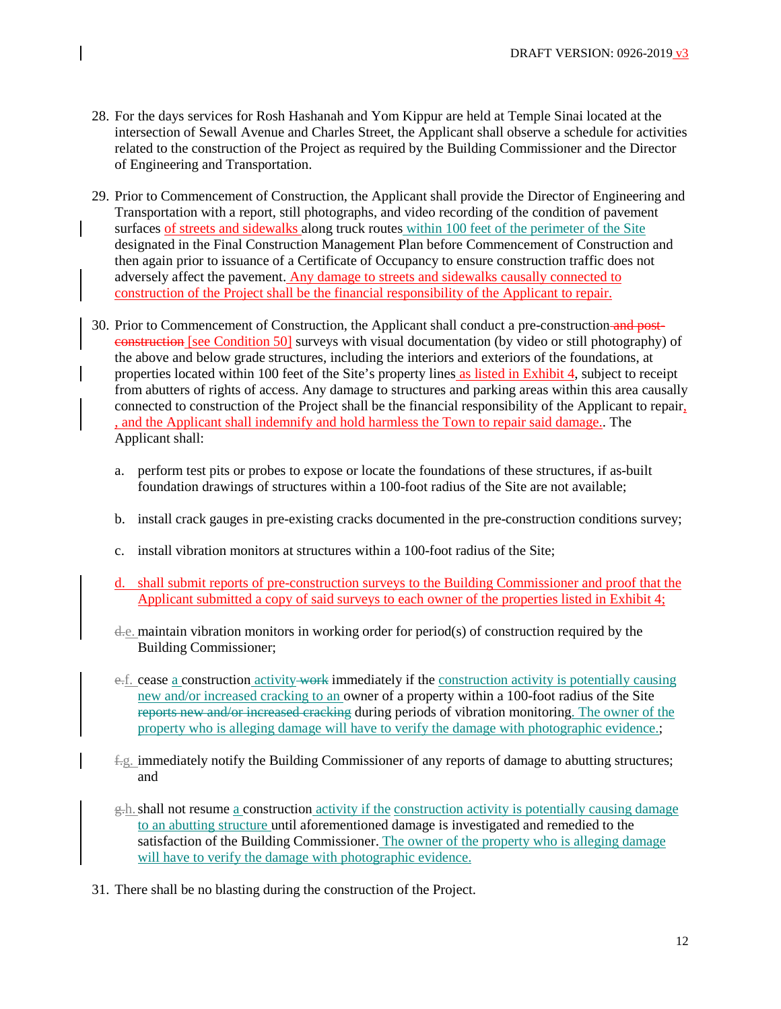- 28. For the days services for Rosh Hashanah and Yom Kippur are held at Temple Sinai located at the intersection of Sewall Avenue and Charles Street, the Applicant shall observe a schedule for activities related to the construction of the Project as required by the Building Commissioner and the Director of Engineering and Transportation.
- 29. Prior to Commencement of Construction, the Applicant shall provide the Director of Engineering and Transportation with a report, still photographs, and video recording of the condition of pavement surfaces of streets and sidewalks along truck routes within 100 feet of the perimeter of the Site designated in the Final Construction Management Plan before Commencement of Construction and then again prior to issuance of a Certificate of Occupancy to ensure construction traffic does not adversely affect the pavement. Any damage to streets and sidewalks causally connected to construction of the Project shall be the financial responsibility of the Applicant to repair.
- 30. Prior to Commencement of Construction, the Applicant shall conduct a pre-construction and postconstruction [see Condition 50] surveys with visual documentation (by video or still photography) of the above and below grade structures, including the interiors and exteriors of the foundations, at properties located within 100 feet of the Site's property lines as listed in Exhibit 4, subject to receipt from abutters of rights of access. Any damage to structures and parking areas within this area causally connected to construction of the Project shall be the financial responsibility of the Applicant to repair, , and the Applicant shall indemnify and hold harmless the Town to repair said damage.. The Applicant shall:
	- a. perform test pits or probes to expose or locate the foundations of these structures, if as-built foundation drawings of structures within a 100-foot radius of the Site are not available;
	- b. install crack gauges in pre-existing cracks documented in the pre-construction conditions survey;
	- c. install vibration monitors at structures within a 100-foot radius of the Site;
	- d. shall submit reports of pre-construction surveys to the Building Commissioner and proof that the Applicant submitted a copy of said surveys to each owner of the properties listed in Exhibit 4;
	- d.e. maintain vibration monitors in working order for period(s) of construction required by the Building Commissioner;
	- e.f. cease a construction activity work immediately if the construction activity is potentially causing new and/or increased cracking to an owner of a property within a 100-foot radius of the Site reports new and/or increased cracking during periods of vibration monitoring. The owner of the property who is alleging damage will have to verify the damage with photographic evidence.;
	- $f_{\rm g}$  immediately notify the Building Commissioner of any reports of damage to abutting structures; and
	- $g<sub>z</sub>$ h. shall not resume a construction activity if the construction activity is potentially causing damage to an abutting structure until aforementioned damage is investigated and remedied to the satisfaction of the Building Commissioner. The owner of the property who is alleging damage will have to verify the damage with photographic evidence.
- 31. There shall be no blasting during the construction of the Project.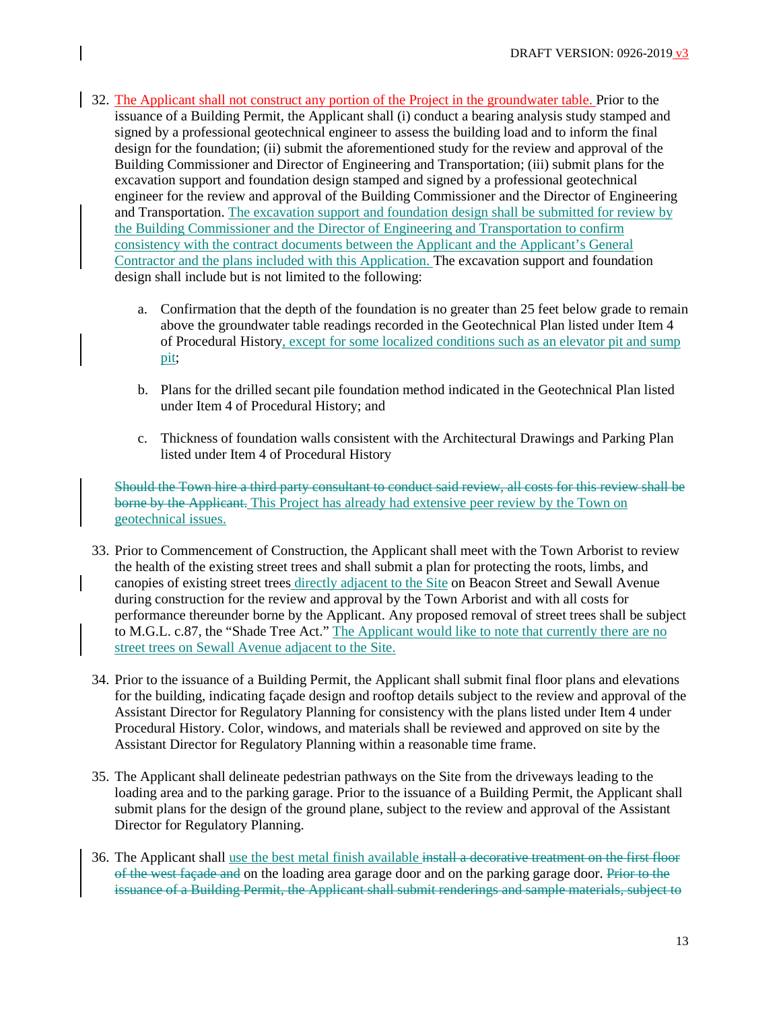- 32. The Applicant shall not construct any portion of the Project in the groundwater table. Prior to the issuance of a Building Permit, the Applicant shall (i) conduct a bearing analysis study stamped and signed by a professional geotechnical engineer to assess the building load and to inform the final design for the foundation; (ii) submit the aforementioned study for the review and approval of the Building Commissioner and Director of Engineering and Transportation; (iii) submit plans for the excavation support and foundation design stamped and signed by a professional geotechnical engineer for the review and approval of the Building Commissioner and the Director of Engineering and Transportation. The excavation support and foundation design shall be submitted for review by the Building Commissioner and the Director of Engineering and Transportation to confirm consistency with the contract documents between the Applicant and the Applicant's General Contractor and the plans included with this Application. The excavation support and foundation design shall include but is not limited to the following:
	- a. Confirmation that the depth of the foundation is no greater than 25 feet below grade to remain above the groundwater table readings recorded in the Geotechnical Plan listed under Item 4 of Procedural History, except for some localized conditions such as an elevator pit and sump pit;
	- b. Plans for the drilled secant pile foundation method indicated in the Geotechnical Plan listed under Item 4 of Procedural History; and
	- c. Thickness of foundation walls consistent with the Architectural Drawings and Parking Plan listed under Item 4 of Procedural History

Should the Town hire a third party consultant to conduct said review, all costs for this review shall be borne by the Applicant. This Project has already had extensive peer review by the Town on geotechnical issues.

- 33. Prior to Commencement of Construction, the Applicant shall meet with the Town Arborist to review the health of the existing street trees and shall submit a plan for protecting the roots, limbs, and canopies of existing street trees directly adjacent to the Site on Beacon Street and Sewall Avenue during construction for the review and approval by the Town Arborist and with all costs for performance thereunder borne by the Applicant. Any proposed removal of street trees shall be subject to M.G.L. c.87, the "Shade Tree Act." The Applicant would like to note that currently there are no street trees on Sewall Avenue adjacent to the Site.
- 34. Prior to the issuance of a Building Permit, the Applicant shall submit final floor plans and elevations for the building, indicating façade design and rooftop details subject to the review and approval of the Assistant Director for Regulatory Planning for consistency with the plans listed under Item 4 under Procedural History. Color, windows, and materials shall be reviewed and approved on site by the Assistant Director for Regulatory Planning within a reasonable time frame.
- 35. The Applicant shall delineate pedestrian pathways on the Site from the driveways leading to the loading area and to the parking garage. Prior to the issuance of a Building Permit, the Applicant shall submit plans for the design of the ground plane, subject to the review and approval of the Assistant Director for Regulatory Planning.
- 36. The Applicant shall use the best metal finish available install a decorative treatment on the first floor of the west façade and on the loading area garage door and on the parking garage door. Prior to the issuance of a Building Permit, the Applicant shall submit renderings and sample materials, subject to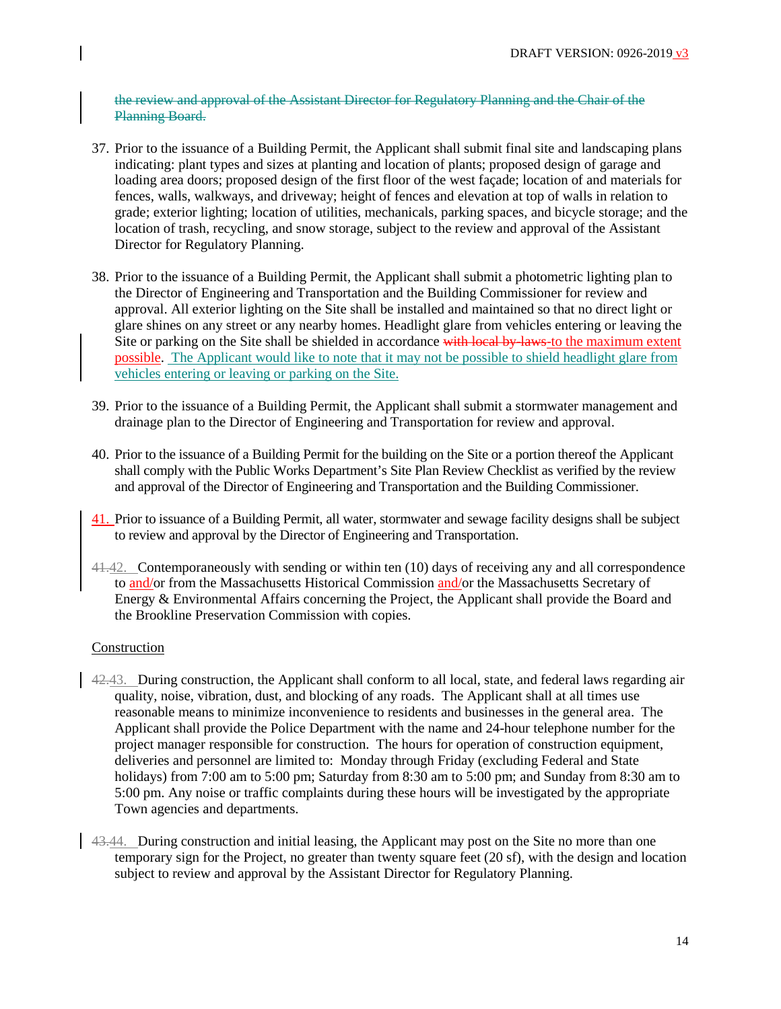the review and approval of the Assistant Director for Regulatory Planning and the Chair of the Planning Board.

- 37. Prior to the issuance of a Building Permit, the Applicant shall submit final site and landscaping plans indicating: plant types and sizes at planting and location of plants; proposed design of garage and loading area doors; proposed design of the first floor of the west façade; location of and materials for fences, walls, walkways, and driveway; height of fences and elevation at top of walls in relation to grade; exterior lighting; location of utilities, mechanicals, parking spaces, and bicycle storage; and the location of trash, recycling, and snow storage, subject to the review and approval of the Assistant Director for Regulatory Planning.
- 38. Prior to the issuance of a Building Permit, the Applicant shall submit a photometric lighting plan to the Director of Engineering and Transportation and the Building Commissioner for review and approval. All exterior lighting on the Site shall be installed and maintained so that no direct light or glare shines on any street or any nearby homes. Headlight glare from vehicles entering or leaving the Site or parking on the Site shall be shielded in accordance with local by laws-to the maximum extent possible. The Applicant would like to note that it may not be possible to shield headlight glare from vehicles entering or leaving or parking on the Site.
- 39. Prior to the issuance of a Building Permit, the Applicant shall submit a stormwater management and drainage plan to the Director of Engineering and Transportation for review and approval.
- 40. Prior to the issuance of a Building Permit for the building on the Site or a portion thereof the Applicant shall comply with the Public Works Department's Site Plan Review Checklist as verified by the review and approval of the Director of Engineering and Transportation and the Building Commissioner.
- 41. Prior to issuance of a Building Permit, all water, stormwater and sewage facility designs shall be subject to review and approval by the Director of Engineering and Transportation.
- 41.42. Contemporaneously with sending or within ten (10) days of receiving any and all correspondence to and/or from the Massachusetts Historical Commission and/or the Massachusetts Secretary of Energy & Environmental Affairs concerning the Project, the Applicant shall provide the Board and the Brookline Preservation Commission with copies.

#### Construction

- 42.43. During construction, the Applicant shall conform to all local, state, and federal laws regarding air quality, noise, vibration, dust, and blocking of any roads. The Applicant shall at all times use reasonable means to minimize inconvenience to residents and businesses in the general area. The Applicant shall provide the Police Department with the name and 24-hour telephone number for the project manager responsible for construction. The hours for operation of construction equipment, deliveries and personnel are limited to: Monday through Friday (excluding Federal and State holidays) from 7:00 am to 5:00 pm; Saturday from 8:30 am to 5:00 pm; and Sunday from 8:30 am to 5:00 pm. Any noise or traffic complaints during these hours will be investigated by the appropriate Town agencies and departments.
- 43.44. During construction and initial leasing, the Applicant may post on the Site no more than one temporary sign for the Project, no greater than twenty square feet (20 sf), with the design and location subject to review and approval by the Assistant Director for Regulatory Planning.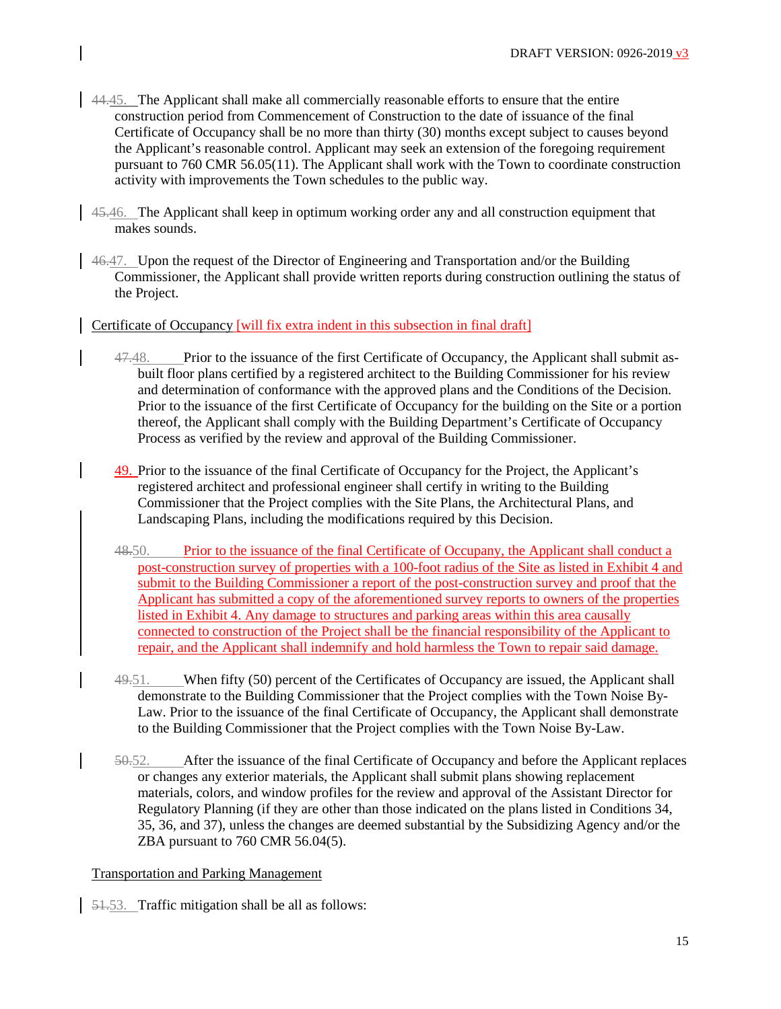- $\frac{44.45}{ }$ . The Applicant shall make all commercially reasonable efforts to ensure that the entire construction period from Commencement of Construction to the date of issuance of the final Certificate of Occupancy shall be no more than thirty (30) months except subject to causes beyond the Applicant's reasonable control. Applicant may seek an extension of the foregoing requirement pursuant to 760 CMR 56.05(11). The Applicant shall work with the Town to coordinate construction activity with improvements the Town schedules to the public way.
- 45.46. The Applicant shall keep in optimum working order any and all construction equipment that makes sounds.
- 46.47. Upon the request of the Director of Engineering and Transportation and/or the Building Commissioner, the Applicant shall provide written reports during construction outlining the status of the Project.

# Certificate of Occupancy [will fix extra indent in this subsection in final draft]

- 47.48. Prior to the issuance of the first Certificate of Occupancy, the Applicant shall submit asbuilt floor plans certified by a registered architect to the Building Commissioner for his review and determination of conformance with the approved plans and the Conditions of the Decision. Prior to the issuance of the first Certificate of Occupancy for the building on the Site or a portion thereof, the Applicant shall comply with the Building Department's Certificate of Occupancy Process as verified by the review and approval of the Building Commissioner.
- 49. Prior to the issuance of the final Certificate of Occupancy for the Project, the Applicant's registered architect and professional engineer shall certify in writing to the Building Commissioner that the Project complies with the Site Plans, the Architectural Plans, and Landscaping Plans, including the modifications required by this Decision.
- 48.50. Prior to the issuance of the final Certificate of Occupany, the Applicant shall conduct a post-construction survey of properties with a 100-foot radius of the Site as listed in Exhibit 4 and submit to the Building Commissioner a report of the post-construction survey and proof that the Applicant has submitted a copy of the aforementioned survey reports to owners of the properties listed in Exhibit 4. Any damage to structures and parking areas within this area causally connected to construction of the Project shall be the financial responsibility of the Applicant to repair, and the Applicant shall indemnify and hold harmless the Town to repair said damage.
- 49.51. When fifty (50) percent of the Certificates of Occupancy are issued, the Applicant shall demonstrate to the Building Commissioner that the Project complies with the Town Noise By-Law. Prior to the issuance of the final Certificate of Occupancy, the Applicant shall demonstrate to the Building Commissioner that the Project complies with the Town Noise By-Law.
- 50.52. After the issuance of the final Certificate of Occupancy and before the Applicant replaces or changes any exterior materials, the Applicant shall submit plans showing replacement materials, colors, and window profiles for the review and approval of the Assistant Director for Regulatory Planning (if they are other than those indicated on the plans listed in Conditions 34, 35, 36, and 37), unless the changes are deemed substantial by the Subsidizing Agency and/or the ZBA pursuant to 760 CMR 56.04(5).

# Transportation and Parking Management

51.53. Traffic mitigation shall be all as follows: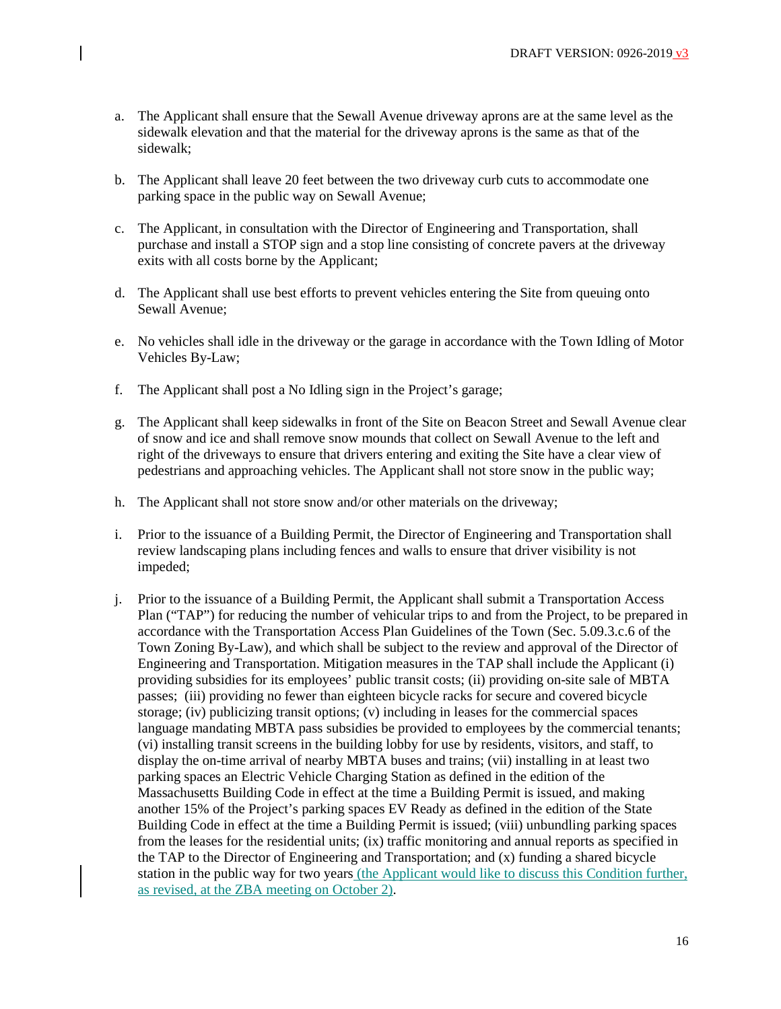- a. The Applicant shall ensure that the Sewall Avenue driveway aprons are at the same level as the sidewalk elevation and that the material for the driveway aprons is the same as that of the sidewalk;
- b. The Applicant shall leave 20 feet between the two driveway curb cuts to accommodate one parking space in the public way on Sewall Avenue;
- c. The Applicant, in consultation with the Director of Engineering and Transportation, shall purchase and install a STOP sign and a stop line consisting of concrete pavers at the driveway exits with all costs borne by the Applicant;
- d. The Applicant shall use best efforts to prevent vehicles entering the Site from queuing onto Sewall Avenue;
- e. No vehicles shall idle in the driveway or the garage in accordance with the Town Idling of Motor Vehicles By-Law;
- f. The Applicant shall post a No Idling sign in the Project's garage;
- g. The Applicant shall keep sidewalks in front of the Site on Beacon Street and Sewall Avenue clear of snow and ice and shall remove snow mounds that collect on Sewall Avenue to the left and right of the driveways to ensure that drivers entering and exiting the Site have a clear view of pedestrians and approaching vehicles. The Applicant shall not store snow in the public way;
- h. The Applicant shall not store snow and/or other materials on the driveway;
- i. Prior to the issuance of a Building Permit, the Director of Engineering and Transportation shall review landscaping plans including fences and walls to ensure that driver visibility is not impeded;
- j. Prior to the issuance of a Building Permit, the Applicant shall submit a Transportation Access Plan ("TAP") for reducing the number of vehicular trips to and from the Project, to be prepared in accordance with the Transportation Access Plan Guidelines of the Town (Sec. 5.09.3.c.6 of the Town Zoning By-Law), and which shall be subject to the review and approval of the Director of Engineering and Transportation. Mitigation measures in the TAP shall include the Applicant (i) providing subsidies for its employees' public transit costs; (ii) providing on-site sale of MBTA passes; (iii) providing no fewer than eighteen bicycle racks for secure and covered bicycle storage; (iv) publicizing transit options; (v) including in leases for the commercial spaces language mandating MBTA pass subsidies be provided to employees by the commercial tenants; (vi) installing transit screens in the building lobby for use by residents, visitors, and staff, to display the on-time arrival of nearby MBTA buses and trains; (vii) installing in at least two parking spaces an Electric Vehicle Charging Station as defined in the edition of the Massachusetts Building Code in effect at the time a Building Permit is issued, and making another 15% of the Project's parking spaces EV Ready as defined in the edition of the State Building Code in effect at the time a Building Permit is issued; (viii) unbundling parking spaces from the leases for the residential units; (ix) traffic monitoring and annual reports as specified in the TAP to the Director of Engineering and Transportation; and (x) funding a shared bicycle station in the public way for two years (the Applicant would like to discuss this Condition further, as revised, at the ZBA meeting on October 2).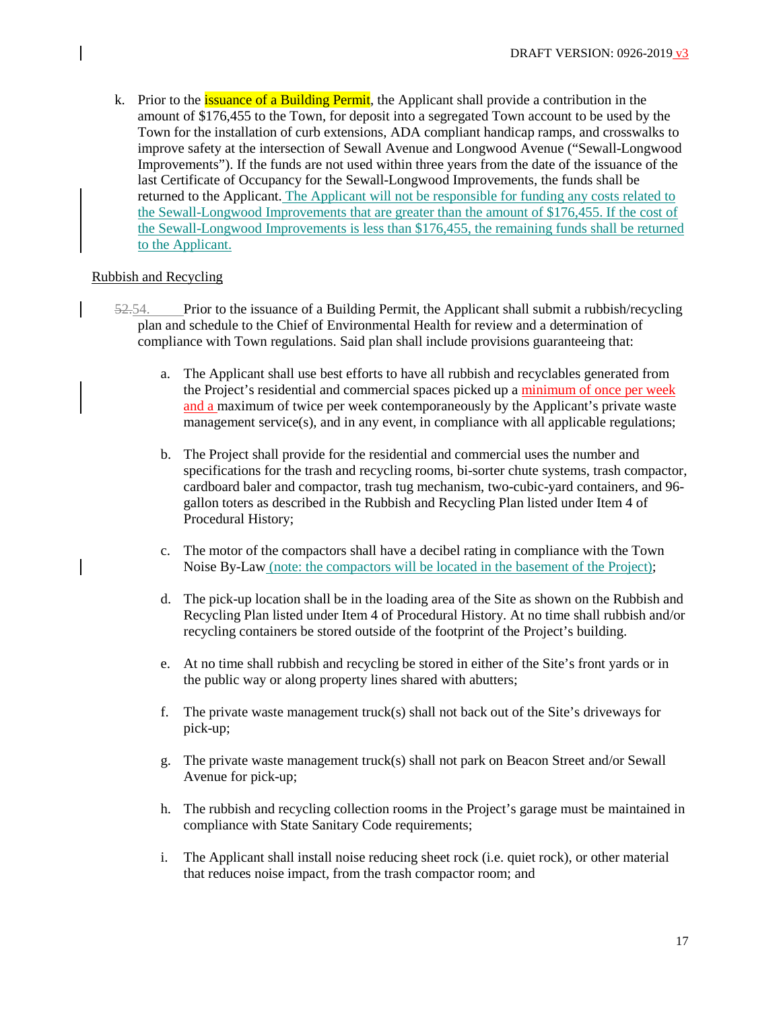k. Prior to the *issuance of a Building Permit*, the Applicant shall provide a contribution in the amount of \$176,455 to the Town, for deposit into a segregated Town account to be used by the Town for the installation of curb extensions, ADA compliant handicap ramps, and crosswalks to improve safety at the intersection of Sewall Avenue and Longwood Avenue ("Sewall-Longwood Improvements"). If the funds are not used within three years from the date of the issuance of the last Certificate of Occupancy for the Sewall-Longwood Improvements, the funds shall be returned to the Applicant. The Applicant will not be responsible for funding any costs related to the Sewall-Longwood Improvements that are greater than the amount of \$176,455. If the cost of the Sewall-Longwood Improvements is less than \$176,455, the remaining funds shall be returned to the Applicant.

# Rubbish and Recycling

- $52.54.$  Prior to the issuance of a Building Permit, the Applicant shall submit a rubbish/recycling plan and schedule to the Chief of Environmental Health for review and a determination of compliance with Town regulations. Said plan shall include provisions guaranteeing that:
	- a. The Applicant shall use best efforts to have all rubbish and recyclables generated from the Project's residential and commercial spaces picked up a minimum of once per week and a maximum of twice per week contemporaneously by the Applicant's private waste management service(s), and in any event, in compliance with all applicable regulations;
	- b. The Project shall provide for the residential and commercial uses the number and specifications for the trash and recycling rooms, bi-sorter chute systems, trash compactor, cardboard baler and compactor, trash tug mechanism, two-cubic-yard containers, and 96 gallon toters as described in the Rubbish and Recycling Plan listed under Item 4 of Procedural History;
	- c. The motor of the compactors shall have a decibel rating in compliance with the Town Noise By-Law (note: the compactors will be located in the basement of the Project);
	- d. The pick-up location shall be in the loading area of the Site as shown on the Rubbish and Recycling Plan listed under Item 4 of Procedural History. At no time shall rubbish and/or recycling containers be stored outside of the footprint of the Project's building.
	- e. At no time shall rubbish and recycling be stored in either of the Site's front yards or in the public way or along property lines shared with abutters;
	- f. The private waste management truck(s) shall not back out of the Site's driveways for pick-up;
	- g. The private waste management truck(s) shall not park on Beacon Street and/or Sewall Avenue for pick-up;
	- h. The rubbish and recycling collection rooms in the Project's garage must be maintained in compliance with State Sanitary Code requirements;
	- i. The Applicant shall install noise reducing sheet rock (i.e. quiet rock), or other material that reduces noise impact, from the trash compactor room; and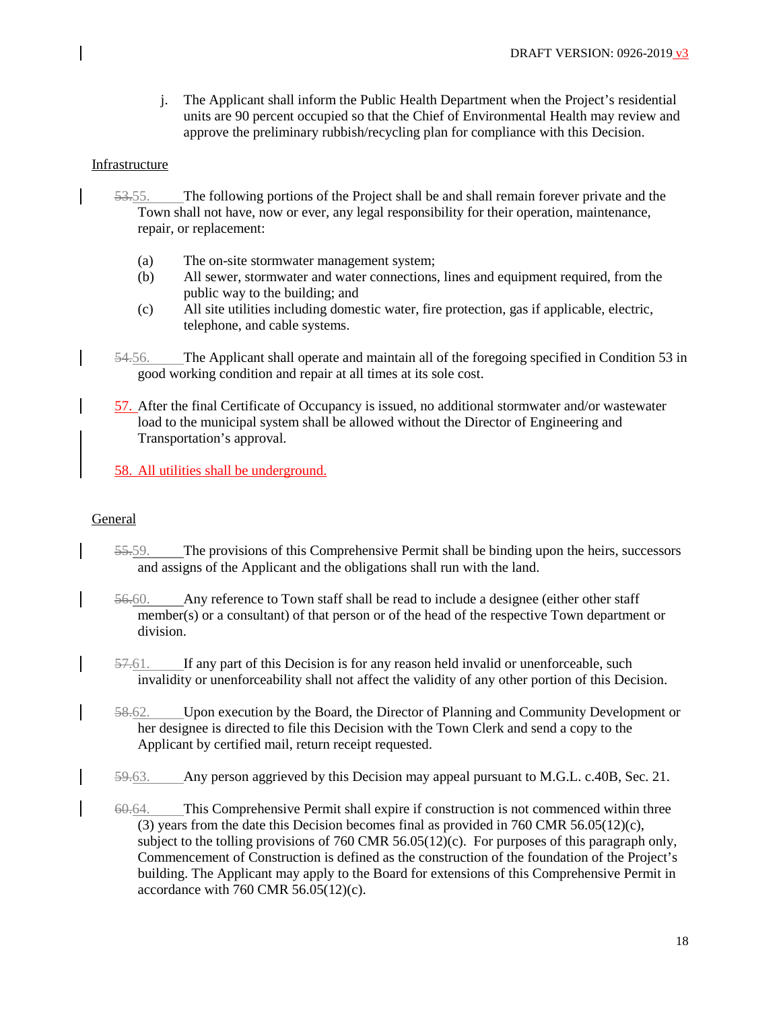j. The Applicant shall inform the Public Health Department when the Project's residential units are 90 percent occupied so that the Chief of Environmental Health may review and approve the preliminary rubbish/recycling plan for compliance with this Decision.

# Infrastructure

- 53.55. The following portions of the Project shall be and shall remain forever private and the Town shall not have, now or ever, any legal responsibility for their operation, maintenance, repair, or replacement:
	- (a) The on-site stormwater management system;
	- (b) All sewer, stormwater and water connections, lines and equipment required, from the public way to the building; and
	- (c) All site utilities including domestic water, fire protection, gas if applicable, electric, telephone, and cable systems.
- 54.56. The Applicant shall operate and maintain all of the foregoing specified in Condition 53 in good working condition and repair at all times at its sole cost.
- 57. After the final Certificate of Occupancy is issued, no additional stormwater and/or wastewater load to the municipal system shall be allowed without the Director of Engineering and Transportation's approval.

58. All utilities shall be underground.

# **General**

- 55.59. The provisions of this Comprehensive Permit shall be binding upon the heirs, successors and assigns of the Applicant and the obligations shall run with the land.
- 56.60. Any reference to Town staff shall be read to include a designee (either other staff member(s) or a consultant) of that person or of the head of the respective Town department or division.
- 57.61. If any part of this Decision is for any reason held invalid or unenforceable, such invalidity or unenforceability shall not affect the validity of any other portion of this Decision.
- 58.62. Upon execution by the Board, the Director of Planning and Community Development or her designee is directed to file this Decision with the Town Clerk and send a copy to the Applicant by certified mail, return receipt requested.
- 59.63. Any person aggrieved by this Decision may appeal pursuant to M.G.L. c.40B, Sec. 21.
- 60.64. This Comprehensive Permit shall expire if construction is not commenced within three (3) years from the date this Decision becomes final as provided in 760 CMR 56.05(12)(c), subject to the tolling provisions of 760 CMR 56.05(12)(c). For purposes of this paragraph only, Commencement of Construction is defined as the construction of the foundation of the Project's building. The Applicant may apply to the Board for extensions of this Comprehensive Permit in accordance with 760 CMR 56.05(12)(c).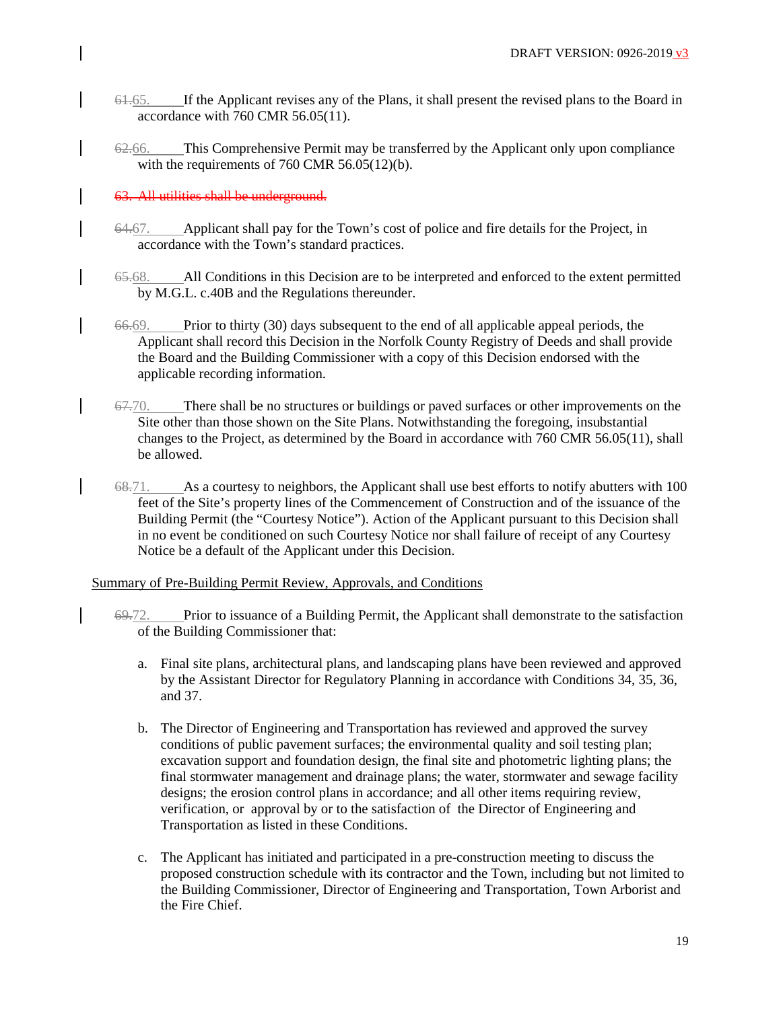- 61.65. If the Applicant revises any of the Plans, it shall present the revised plans to the Board in accordance with 760 CMR 56.05(11).
- 62.66. This Comprehensive Permit may be transferred by the Applicant only upon compliance with the requirements of 760 CMR 56.05(12)(b).

# 63. All utilities shall be underground.

- 64.67. Applicant shall pay for the Town's cost of police and fire details for the Project, in accordance with the Town's standard practices.
- 65.68. All Conditions in this Decision are to be interpreted and enforced to the extent permitted by M.G.L. c.40B and the Regulations thereunder.
- 66.69. Prior to thirty (30) days subsequent to the end of all applicable appeal periods, the Applicant shall record this Decision in the Norfolk County Registry of Deeds and shall provide the Board and the Building Commissioner with a copy of this Decision endorsed with the applicable recording information.
- 67.70. There shall be no structures or buildings or paved surfaces or other improvements on the Site other than those shown on the Site Plans. Notwithstanding the foregoing, insubstantial changes to the Project, as determined by the Board in accordance with 760 CMR 56.05(11), shall be allowed.
- 68.71. As a courtesy to neighbors, the Applicant shall use best efforts to notify abutters with 100 feet of the Site's property lines of the Commencement of Construction and of the issuance of the Building Permit (the "Courtesy Notice"). Action of the Applicant pursuant to this Decision shall in no event be conditioned on such Courtesy Notice nor shall failure of receipt of any Courtesy Notice be a default of the Applicant under this Decision.

# Summary of Pre-Building Permit Review, Approvals, and Conditions

- 69.72. Prior to issuance of a Building Permit, the Applicant shall demonstrate to the satisfaction of the Building Commissioner that:
	- a. Final site plans, architectural plans, and landscaping plans have been reviewed and approved by the Assistant Director for Regulatory Planning in accordance with Conditions 34, 35, 36, and 37.
	- b. The Director of Engineering and Transportation has reviewed and approved the survey conditions of public pavement surfaces; the environmental quality and soil testing plan; excavation support and foundation design, the final site and photometric lighting plans; the final stormwater management and drainage plans; the water, stormwater and sewage facility designs; the erosion control plans in accordance; and all other items requiring review, verification, or approval by or to the satisfaction of the Director of Engineering and Transportation as listed in these Conditions.
	- c. The Applicant has initiated and participated in a pre-construction meeting to discuss the proposed construction schedule with its contractor and the Town, including but not limited to the Building Commissioner, Director of Engineering and Transportation, Town Arborist and the Fire Chief.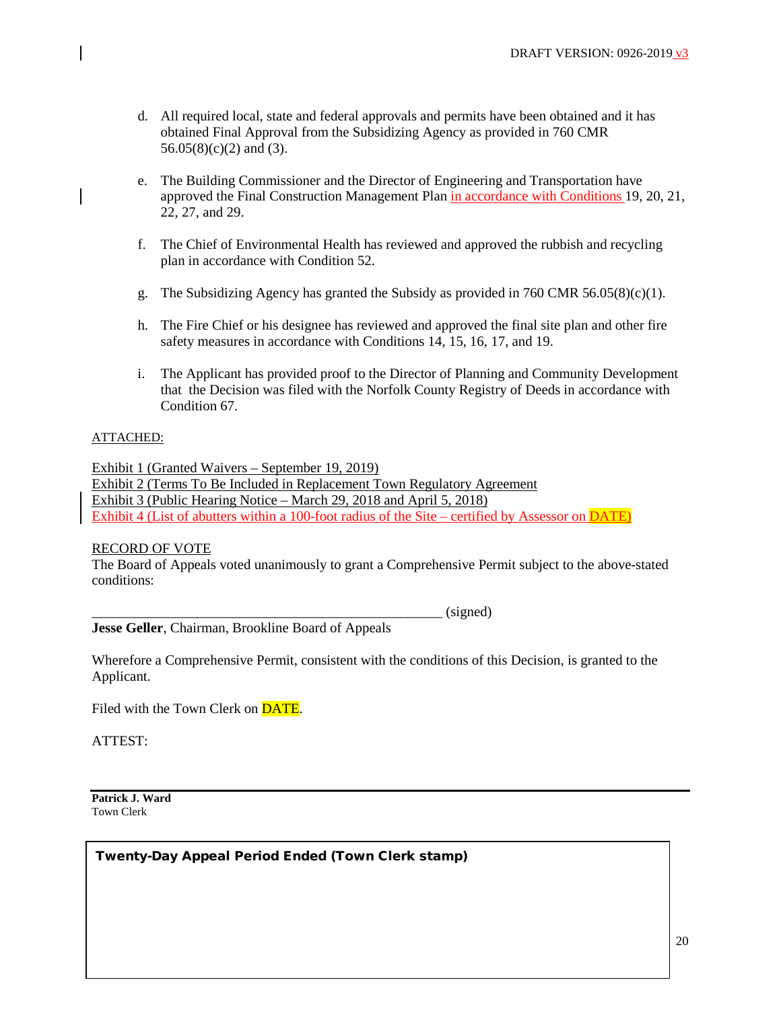- d. All required local, state and federal approvals and permits have been obtained and it has obtained Final Approval from the Subsidizing Agency as provided in 760 CMR  $56.05(8)(c)(2)$  and (3).
- e. The Building Commissioner and the Director of Engineering and Transportation have approved the Final Construction Management Plan in accordance with Conditions 19, 20, 21, 22, 27, and 29.
- f. The Chief of Environmental Health has reviewed and approved the rubbish and recycling plan in accordance with Condition 52.
- g. The Subsidizing Agency has granted the Subsidy as provided in 760 CMR 56.05(8)(c)(1).
- h. The Fire Chief or his designee has reviewed and approved the final site plan and other fire safety measures in accordance with Conditions 14, 15, 16, 17, and 19.
- i. The Applicant has provided proof to the Director of Planning and Community Development that the Decision was filed with the Norfolk County Registry of Deeds in accordance with Condition 67.

#### ATTACHED:

Exhibit 1 (Granted Waivers – September 19, 2019) Exhibit 2 (Terms To Be Included in Replacement Town Regulatory Agreement Exhibit 3 (Public Hearing Notice – March 29, 2018 and April 5, 2018) Exhibit 4 (List of abutters within a 100-foot radius of the Site – certified by Assessor on DATE)

#### RECORD OF VOTE

The Board of Appeals voted unanimously to grant a Comprehensive Permit subject to the above-stated conditions:

\_\_\_\_\_\_\_\_\_\_\_\_\_\_\_\_\_\_\_\_\_\_\_\_\_\_\_\_\_\_\_\_\_\_\_\_\_\_\_\_\_\_\_\_\_\_\_\_\_\_ (signed) **Jesse Geller**, Chairman, Brookline Board of Appeals

Wherefore a Comprehensive Permit, consistent with the conditions of this Decision, is granted to the Applicant.

Filed with the Town Clerk on **DATE**.

ATTEST:

**Patrick J. Ward** Town Clerk

Twenty-Day Appeal Period Ended (Town Clerk stamp)